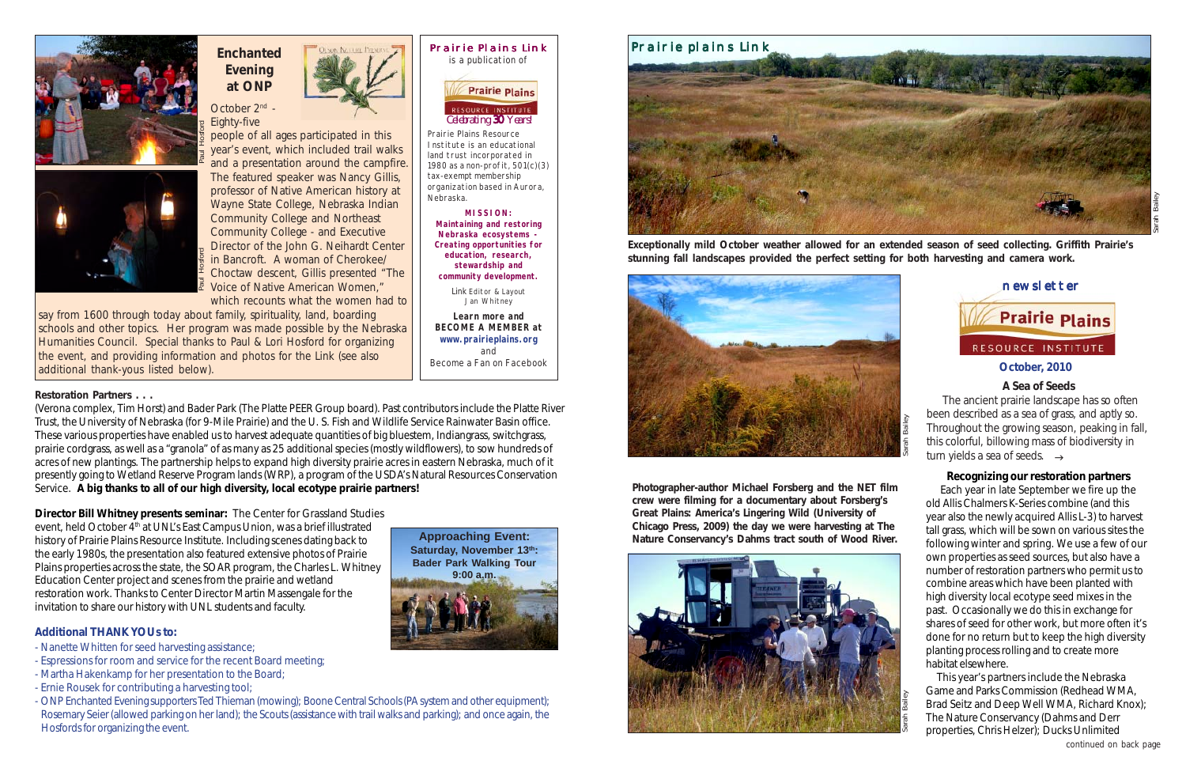### **October, 2010**

newsletter





Prairie Plains Resource Institute is an educational land trust incorporated in 1980 as a non-profit, 501(c)(3) tax-exempt membership organization based in Aurora, Nebraska.

October 2<sup>nd</sup> -Eighty-five

people of all ages participated in this year's event, which included trail walks and a presentation around the campfire. The featured speaker was Nancy Gillis, professor of Native American history at Wayne State College, Nebraska Indian Community College and Northeast Community College - and Executive Director of the John G. Neihardt Center in Bancroft. A woman of Cherokee/ Choctaw descent, Gillis presented "The Voice of Native American Women," which recounts what the women had to



**MISSION: Maintaining and restoring Nebraska ecosystems - Creating opportunities for education, research, stewardship and community development.**

*Link* Editor & Layout

Jan Whitney



**Learn more and BECOME A MEMBER at www.prairieplains.org** and Become a Fan on Facebook

*Celebrating 30 Years! 30*

### **Additional THANK YOUs to:**



## **Enchanted Evening at ONP**

 The ancient prairie landscape has so often been described as a sea of grass, and aptly so. Throughout the growing season, peaking in fall, this colorful, billowing mass of biodiversity in turn yields a sea of seeds.  $\rightarrow$ 

say from 1600 through today about family, spirituality, land, boarding schools and other topics. Her program was made possible by the Nebraska Humanities Council. *Special thanks to Paul & Lori Hosford for organizing the event, and providing information and photos for the Link (see also additional thank-yous listed below).*

**Exceptionally mild October weather allowed for an extended season of seed collecting. Griffith Prairie's stunning fall landscapes provided the perfect setting for both harvesting and camera work.**

Sarah Bailey





### Prairie plains Link

# **Prairie Plains**

**A Sea of Seeds**

**Photographer-author Michael Forsberg and the NET film crew were filming for a documentary about Forsberg's** *Great Plains: America's Lingering Wild* **(University of Chicago Press, 2009) the day we were harvesting at The Nature Conservancy's Dahms tract south of Wood River.**



**Director Bill Whitney presents seminar:** The Center for Grassland Studies event, held October 4<sup>th</sup> at UNL's East Campus Union, was a brief illustrated history of Prairie Plains Resource Institute. Including scenes dating back to the early 1980s, the presentation also featured extensive photos of Prairie Plains properties across the state, the SOAR program, the Charles L. Whitney Education Center project and scenes from the prairie and wetland restoration work. Thanks to Center Director Martin Massengale for the invitation to share the student of the based of the students and a present with the featured speaker of the form of the student of the student of the student of the student of the student of the student of the student of t

- Nanette Whitten for seed harvesting assistance;
- Espressions for room and service for the recent Board meeting;
- Martha Hakenkamp for her presentation to the Board;
- Ernie Rousek for contributing a harvesting tool;
- ONP Enchanted Evening supporters Ted Thieman (mowing); Boone Central Schools (PA system and other equipment); Rosemary Seier (allowed parking on her land); the Scouts (assistance with trail walks and parking); and once again, the Hosfords for organizing the event.



### **Recognizing our restoration partners**

 Each year in late September we fire up the old Allis Chalmers K-Series combine (and this year also the newly acquired Allis L-3) to harvest tall grass, which will be sown on various sites the following winter and spring. We use a few of our own properties as seed sources, but also have a number of restoration partners who permit us to combine areas which have been planted with high diversity local ecotype seed mixes in the past. Occasionally we do this in exchange for shares of seed for other work, but more often it's done for no return but to keep the high diversity planting process rolling and to create more habitat elsewhere.

 This year's partners include the Nebraska Game and Parks Commission (Redhead WMA, Brad Seitz and Deep Well WMA, Richard Knox); The Nature Conservancy (Dahms and Derr properties, Chris Helzer); Ducks Unlimited

(Verona complex, Tim Horst) and Bader Park (The Platte PEER Group board). Past contributors include the Platte River Trust, the University of Nebraska (for 9-Mile Prairie) and the U. S. Fish and Wildlife Service Rainwater Basin office. These various properties have enabled us to harvest adequate quantities of big bluestem, Indiangrass, switchgrass, prairie cordgrass, as well as a "granola" of as many as 25 additional species (mostly wildflowers), to sow hundreds of acres of new plantings. The partnership helps to expand high diversity prairie acres in eastern Nebraska, much of it presently going to Wetland Reserve Program lands (WRP), a program of the USDA's Natural Resources Conservation Service. **A big thanks to all of our high diversity, local ecotype prairie partners!**

*continued on back page*

### **Restoration Partners . . .**